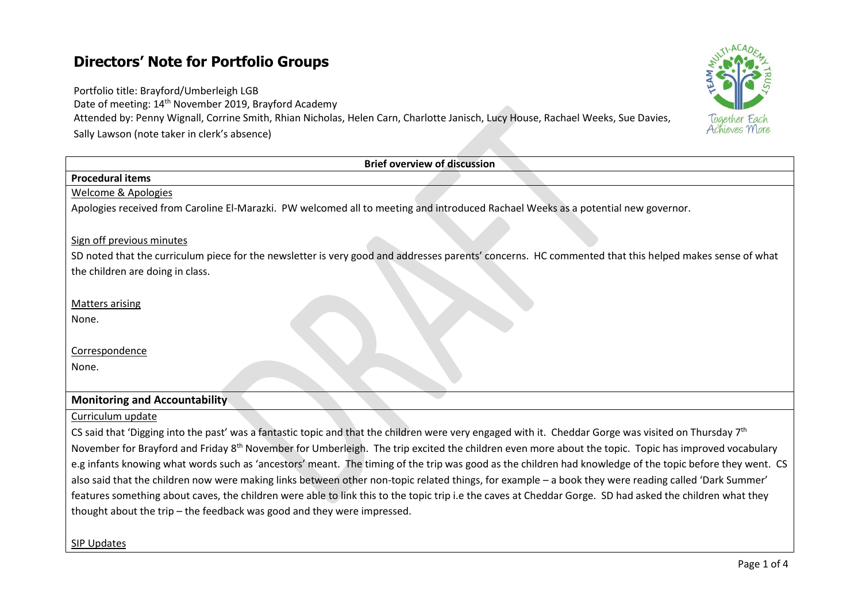# **Directors' Note for Portfolio Groups**

Portfolio title: Brayford/Umberleigh LGB

Date of meeting: 14th November 2019, Brayford Academy

Attended by: Penny Wignall, Corrine Smith, Rhian Nicholas, Helen Carn, Charlotte Janisch, Lucy House, Rachael Weeks, Sue Davies, Sally Lawson (note taker in clerk's absence)

## SIP Updates

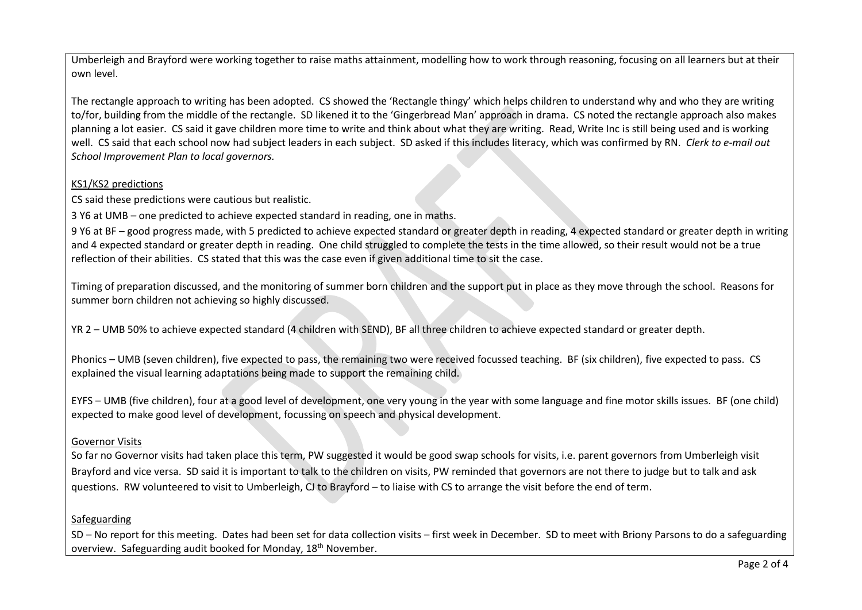Umberleigh and Brayford were working together to raise maths attainment, modelling how to work through reasoning, focusing on all learners but at their own level.

The rectangle approach to writing has been adopted. CS showed the 'Rectangle thingy' which helps children to understand why and who they are writing to/for, building from the middle of the rectangle. SD likened it to the 'Gingerbread Man' approach in drama. CS noted the rectangle approach also makes planning a lot easier. CS said it gave children more time to write and think about what they are writing. Read, Write Inc is still being used and is working well. CS said that each school now had subject leaders in each subject. SD asked if this includes literacy, which was confirmed by RN. *Clerk to e-mail out School Improvement Plan to local governors.*

## KS1/KS2 predictions

CS said these predictions were cautious but realistic.

3 Y6 at UMB – one predicted to achieve expected standard in reading, one in maths.

9 Y6 at BF – good progress made, with 5 predicted to achieve expected standard or greater depth in reading, 4 expected standard or greater depth in writing and 4 expected standard or greater depth in reading. One child struggled to complete the tests in the time allowed, so their result would not be a true reflection of their abilities. CS stated that this was the case even if given additional time to sit the case.

Timing of preparation discussed, and the monitoring of summer born children and the support put in place as they move through the school. Reasons for summer born children not achieving so highly discussed.

YR 2 – UMB 50% to achieve expected standard (4 children with SEND), BF all three children to achieve expected standard or greater depth.

Phonics – UMB (seven children), five expected to pass, the remaining two were received focussed teaching. BF (six children), five expected to pass. CS explained the visual learning adaptations being made to support the remaining child.

EYFS – UMB (five children), four at a good level of development, one very young in the year with some language and fine motor skills issues. BF (one child) expected to make good level of development, focussing on speech and physical development.

# Governor Visits

So far no Governor visits had taken place this term, PW suggested it would be good swap schools for visits, i.e. parent governors from Umberleigh visit Brayford and vice versa. SD said it is important to talk to the children on visits, PW reminded that governors are not there to judge but to talk and ask questions. RW volunteered to visit to Umberleigh, CJ to Brayford – to liaise with CS to arrange the visit before the end of term.

# Safeguarding

SD – No report for this meeting. Dates had been set for data collection visits – first week in December. SD to meet with Briony Parsons to do a safeguarding overview. Safeguarding audit booked for Monday, 18<sup>th</sup> November.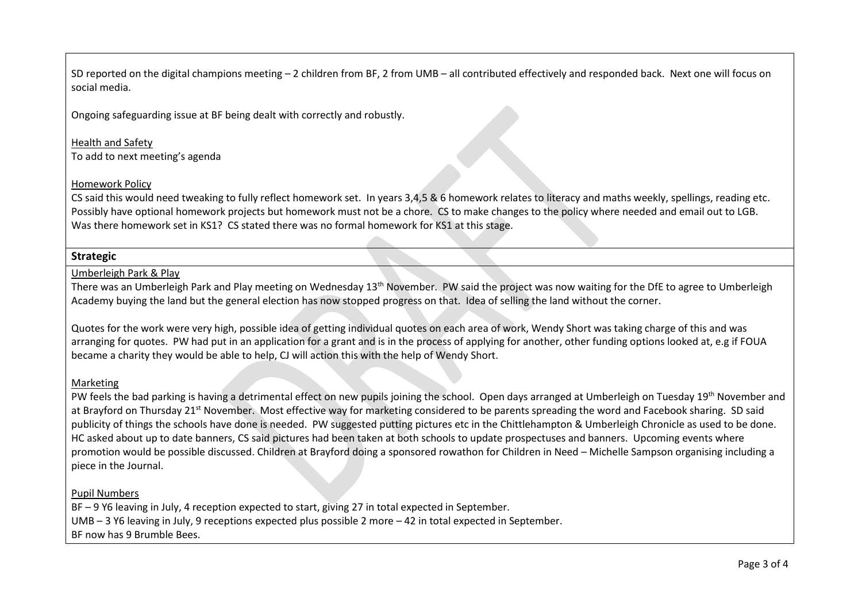SD reported on the digital champions meeting – 2 children from BF, 2 from UMB – all contributed effectively and responded back. Next one will focus on social media.

Ongoing safeguarding issue at BF being dealt with correctly and robustly.

Health and Safety To add to next meeting's agenda

#### Homework Policy

CS said this would need tweaking to fully reflect homework set. In years 3,4,5 & 6 homework relates to literacy and maths weekly, spellings, reading etc. Possibly have optional homework projects but homework must not be a chore. CS to make changes to the policy where needed and email out to LGB. Was there homework set in KS1? CS stated there was no formal homework for KS1 at this stage.

# **Strategic**

#### Umberleigh Park & Play

There was an Umberleigh Park and Play meeting on Wednesday 13<sup>th</sup> November. PW said the project was now waiting for the DfE to agree to Umberleigh Academy buying the land but the general election has now stopped progress on that. Idea of selling the land without the corner.

Quotes for the work were very high, possible idea of getting individual quotes on each area of work, Wendy Short was taking charge of this and was arranging for quotes. PW had put in an application for a grant and is in the process of applying for another, other funding options looked at, e.g if FOUA became a charity they would be able to help, CJ will action this with the help of Wendy Short.

#### Marketing

PW feels the bad parking is having a detrimental effect on new pupils joining the school. Open days arranged at Umberleigh on Tuesday 19<sup>th</sup> November and at Brayford on Thursday 21<sup>st</sup> November. Most effective way for marketing considered to be parents spreading the word and Facebook sharing. SD said publicity of things the schools have done is needed. PW suggested putting pictures etc in the Chittlehampton & Umberleigh Chronicle as used to be done. HC asked about up to date banners, CS said pictures had been taken at both schools to update prospectuses and banners. Upcoming events where promotion would be possible discussed. Children at Brayford doing a sponsored rowathon for Children in Need – Michelle Sampson organising including a piece in the Journal.

#### Pupil Numbers

BF – 9 Y6 leaving in July, 4 reception expected to start, giving 27 in total expected in September. UMB – 3 Y6 leaving in July, 9 receptions expected plus possible 2 more – 42 in total expected in September. BF now has 9 Brumble Bees.